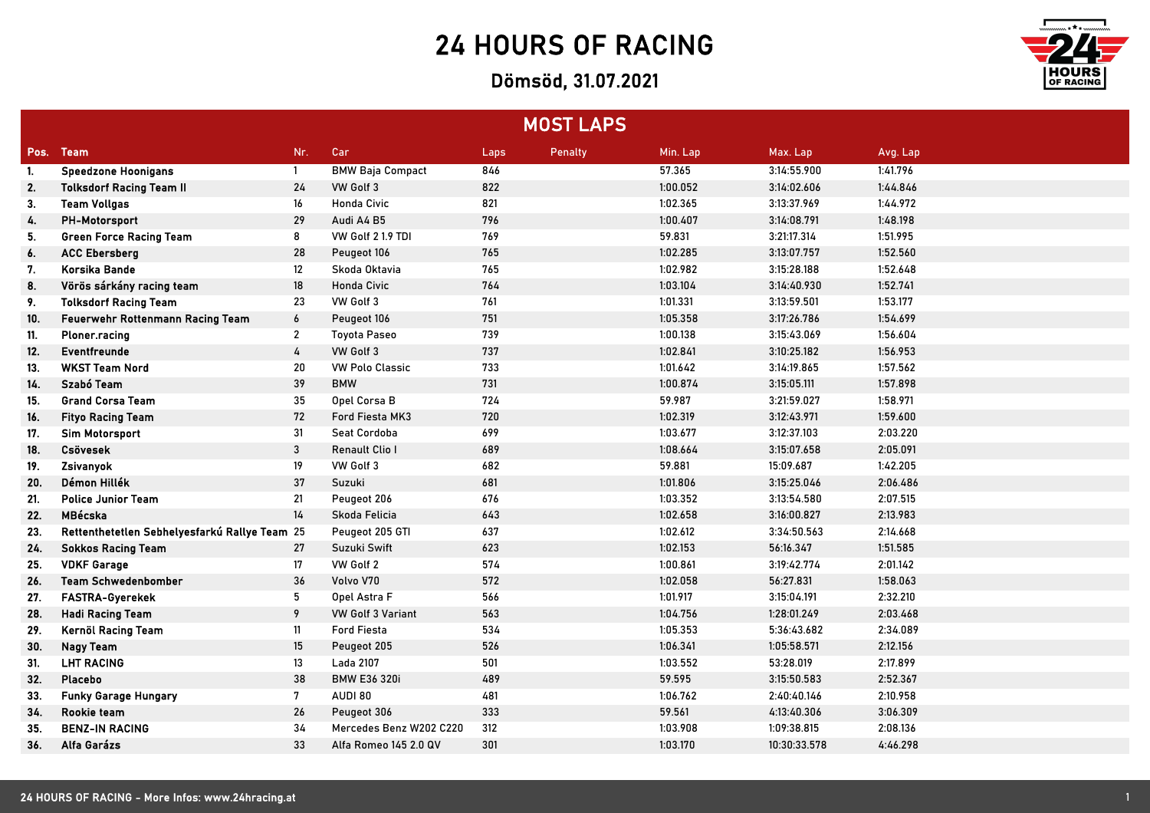## 24 HOURS OF RACING

## Dömsöd, 31.07.2021



| <b>MOST LAPS</b> |                                               |                |                          |      |                |          |              |          |
|------------------|-----------------------------------------------|----------------|--------------------------|------|----------------|----------|--------------|----------|
| Pos.             | <b>Team</b>                                   | Nr.            | Car                      | Laps | <b>Penalty</b> | Min. Lap | Max. Lap     | Avg. Lap |
| -1.              | <b>Speedzone Hoonigans</b>                    | $\mathbf{1}$   | <b>BMW Baja Compact</b>  | 846  |                | 57.365   | 3:14:55.900  | 1:41.796 |
| 2.               | <b>Tolksdorf Racing Team II</b>               | 24             | VW Golf 3                | 822  |                | 1:00.052 | 3:14:02.606  | 1:44.846 |
| 3.               | <b>Team Vollgas</b>                           | 16             | <b>Honda Civic</b>       | 821  |                | 1:02.365 | 3:13:37.969  | 1:44.972 |
| 4.               | <b>PH-Motorsport</b>                          | 29             | Audi A4 B5               | 796  |                | 1:00.407 | 3:14:08.791  | 1:48.198 |
| 5.               | <b>Green Force Racing Team</b>                | 8              | VW Golf 2 1.9 TDI        | 769  |                | 59.831   | 3:21:17.314  | 1:51.995 |
| 6.               | <b>ACC Ebersberg</b>                          | 28             | Peugeot 106              | 765  |                | 1:02.285 | 3:13:07.757  | 1:52.560 |
| 7.               | Korsika Bande                                 | 12             | Skoda Oktavia            | 765  |                | 1:02.982 | 3:15:28.188  | 1:52.648 |
| 8.               | Vörös sárkány racing team                     | 18             | <b>Honda Civic</b>       | 764  |                | 1:03.104 | 3:14:40.930  | 1:52.741 |
| 9.               | <b>Tolksdorf Racing Team</b>                  | 23             | VW Golf 3                | 761  |                | 1:01.331 | 3:13:59.501  | 1:53.177 |
| 10.              | Feuerwehr Rottenmann Racing Team              | 6              | Peugeot 106              | 751  |                | 1:05.358 | 3:17:26.786  | 1:54.699 |
| 11.              | Ploner.racing                                 | $\overline{2}$ | <b>Toyota Paseo</b>      | 739  |                | 1:00.138 | 3:15:43.069  | 1:56.604 |
| 12.              | Eventfreunde                                  | 4              | VW Golf 3                | 737  |                | 1:02.841 | 3:10:25.182  | 1:56.953 |
| 13.              | <b>WKST Team Nord</b>                         | 20             | <b>VW Polo Classic</b>   | 733  |                | 1:01.642 | 3:14:19.865  | 1:57.562 |
| 14.              | Szabó Team                                    | 39             | <b>BMW</b>               | 731  |                | 1:00.874 | 3:15:05.111  | 1:57.898 |
| 15.              | <b>Grand Corsa Team</b>                       | 35             | Opel Corsa B             | 724  |                | 59.987   | 3:21:59.027  | 1:58.971 |
| 16.              | <b>Fityo Racing Team</b>                      | 72             | Ford Fiesta MK3          | 720  |                | 1:02.319 | 3:12:43.971  | 1:59.600 |
| 17.              | <b>Sim Motorsport</b>                         | 31             | Seat Cordoba             | 699  |                | 1:03.677 | 3:12:37.103  | 2:03.220 |
| 18.              | Csövesek                                      | 3              | Renault Clio I           | 689  |                | 1:08.664 | 3:15:07.658  | 2:05.091 |
| 19.              | Zsivanyok                                     | 19             | VW Golf 3                | 682  |                | 59.881   | 15:09.687    | 1:42.205 |
| 20.              | Démon Hillék                                  | 37             | Suzuki                   | 681  |                | 1:01.806 | 3:15:25.046  | 2:06.486 |
| 21.              | <b>Police Junior Team</b>                     | 21             | Peugeot 206              | 676  |                | 1:03.352 | 3:13:54.580  | 2:07.515 |
| 22.              | MBécska                                       | 14             | Skoda Felicia            | 643  |                | 1:02.658 | 3:16:00.827  | 2:13.983 |
| 23.              | Rettenthetetlen Sebhelyesfarkú Rallye Team 25 |                | Peugeot 205 GTI          | 637  |                | 1:02.612 | 3:34:50.563  | 2:14.668 |
| 24.              | <b>Sokkos Racing Team</b>                     | 27             | Suzuki Swift             | 623  |                | 1:02.153 | 56:16.347    | 1:51.585 |
| 25.              | <b>VDKF Garage</b>                            | 17             | VW Golf 2                | 574  |                | 1:00.861 | 3:19:42.774  | 2:01.142 |
| 26.              | <b>Team Schwedenbomber</b>                    | 36             | Volvo V70                | 572  |                | 1:02.058 | 56:27.831    | 1:58.063 |
| 27.              | <b>FASTRA-Gyerekek</b>                        | 5              | Opel Astra F             | 566  |                | 1:01.917 | 3:15:04.191  | 2:32.210 |
| 28.              | <b>Hadi Racing Team</b>                       | 9              | <b>VW Golf 3 Variant</b> | 563  |                | 1:04.756 | 1:28:01.249  | 2:03.468 |
| 29.              | Kernöl Racing Team                            | 11             | <b>Ford Fiesta</b>       | 534  |                | 1:05.353 | 5:36:43.682  | 2:34.089 |
| 30.              | <b>Nagy Team</b>                              | 15             | Peugeot 205              | 526  |                | 1:06.341 | 1:05:58.571  | 2:12.156 |
| 31.              | <b>LHT RACING</b>                             | 13             | Lada 2107                | 501  |                | 1:03.552 | 53:28.019    | 2:17.899 |
| 32.              | Placebo                                       | 38             | <b>BMW E36 320i</b>      | 489  |                | 59.595   | 3:15:50.583  | 2:52.367 |
| 33.              | <b>Funky Garage Hungary</b>                   | 7              | AUDI 80                  | 481  |                | 1:06.762 | 2:40:40.146  | 2:10.958 |
| 34.              | Rookie team                                   | 26             | Peugeot 306              | 333  |                | 59.561   | 4:13:40.306  | 3:06.309 |
| 35.              | <b>BENZ-IN RACING</b>                         | 34             | Mercedes Benz W202 C220  | 312  |                | 1:03.908 | 1:09:38.815  | 2:08.136 |
| 36.              | Alfa Garázs                                   | 33             | Alfa Romeo 145 2.0 QV    | 301  |                | 1:03.170 | 10:30:33.578 | 4:46.298 |